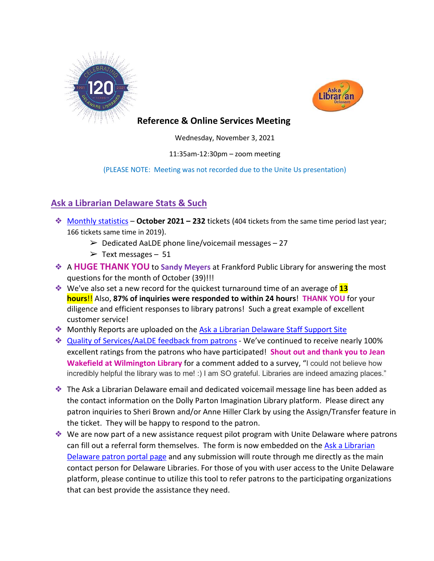



## **Reference & Online Services Meeting**

Wednesday, November 3, 2021

11:35am-12:30pm – zoom meeting

#### (PLEASE NOTE: Meeting was not recorded due to the Unite Us presentation)

# **Ask a Librarian Delaware Stats & Such**

- ❖ [Monthly statistics](https://aalstaff.lib.de.us/home/reports/fy22-monthly-reports/) **October 2021 – 232** tickets (404 tickets from the same time period last year; 166 tickets same time in 2019).
	- $\geq$  Dedicated AaLDE phone line/voicemail messages 27
	- $\geq$  Text messages 51
- ❖ A **HUGE THANK YOU** to **Sandy Meyers** at Frankford Public Library for answering the most questions for the month of October (39)!!!
- ❖ We've also set a new record for the quickest turnaround time of an average of **13 hours**!! Also, **87% of inquiries were responded to within 24 hours**! **THANK YOU** for your diligence and efficient responses to library patrons! Such a great example of excellent customer service!
- ❖ Monthly Reports are uploaded on the [Ask a Librarian Delaware Staff Support Site](https://aalstaff.lib.de.us/home/reports/fy21-monthly-reports/)
- ❖ [Quality of Services/](https://ask.springshare.com/libanswers/faq/2830)AaLDE feedback from patrons We've continued to receive nearly 100% excellent ratings from the patrons who have participated! **Shout out and thank you to Jean Wakefield at Wilmington Library** for a comment added to a survey, "I could not believe how incredibly helpful the library was to me! :) I am SO grateful. Libraries are indeed amazing places."
- ❖ The Ask a Librarian Delaware email and dedicated voicemail message line has been added as the contact information on the Dolly Parton Imagination Library platform. Please direct any patron inquiries to Sheri Brown and/or Anne Hiller Clark by using the Assign/Transfer feature in the ticket. They will be happy to respond to the patron.
- ❖ We are now part of a new assistance request pilot program with Unite Delaware where patrons can fill out a referral form themselves. The form is now embedded on th[e Ask a Librarian](https://answers.delawarelibraries.org/)  [Delaware patron portal page](https://answers.delawarelibraries.org/) and any submission will route through me directly as the main contact person for Delaware Libraries. For those of you with user access to the Unite Delaware platform, please continue to utilize this tool to refer patrons to the participating organizations that can best provide the assistance they need.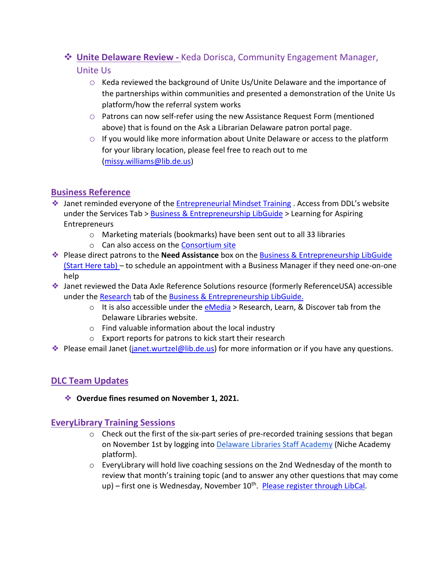# **Unite Delaware Review -** Keda Dorisca, Community Engagement Manager,

### Unite Us

- $\circ$  Keda reviewed the background of Unite Us/Unite Delaware and the importance of the partnerships within communities and presented a demonstration of the Unite Us platform/how the referral system works
- o Patrons can now self-refer using the new Assistance Request Form (mentioned above) that is found on the Ask a Librarian Delaware patron portal page.
- $\circ$  If you would like more information about Unite Delaware or access to the platform for your library location, please feel free to reach out to me [\(missy.williams@lib.de.us\)](mailto:missy.williams@lib.de.us)

## **Business Reference**

- ❖ Janet reminded everyone of th[e Entrepreneurial Mindset Training](https://guides.lib.de.us/c.php?g=584085&p=4033971) . Access from DDL's website under the Services Tab > [Business & Entrepreneurship LibGuide](https://guides.lib.de.us/business) > Learning for Aspiring **Entrepreneurs** 
	- o Marketing materials (bookmarks) have been sent out to all 33 libraries
	- o Can also access on the [Consortium site](https://consortium.lib.de.us/)
- ❖ Please direct patrons to the **Need Assistance** box on the [Business & Entrepreneurship LibGuide](https://guides.lib.de.us/business) (Start Here tab) – to schedule an appointment with a Business Manager if they need one-on-one help
- ❖ Janet reviewed the Data Axle Reference Solutions resource (formerly ReferenceUSA) accessible under the [Research](https://guides.lib.de.us/c.php?g=584085&p=4033972) tab of the [Business & Entrepreneurship LibGuide.](https://guides.lib.de.us/business)
	- $\circ$  It is also accessible under th[e eMedia](https://lib.de.us/emedia/) > Research, Learn, & Discover tab from the Delaware Libraries website.
	- o Find valuable information about the local industry
	- o Export reports for patrons to kick start their research
- ❖ Please email Janet [\(janet.wurtzel@lib.de.us\)](mailto:janet.wurtzel@lib.de.us) for more information or if you have any questions.

# **DLC Team Updates**

❖ **Overdue fines resumed on November 1, 2021.** 

### **EveryLibrary Training Sessions**

- $\circ$  Check out the first of the six-part series of pre-recorded training sessions that began on November 1st by logging into [Delaware Libraries Staff Academy](https://my.nicheacademy.com/delawarelibrariesstaffacademy) (Niche Academy platform).
- $\circ$  EveryLibrary will hold live coaching sessions on the 2nd Wednesday of the month to review that month's training topic (and to answer any other questions that may come up) – first one is Wednesday, November 10<sup>th</sup>. [Please register through LibCal.](https://delawarelibraries.libcal.com/event/8360391)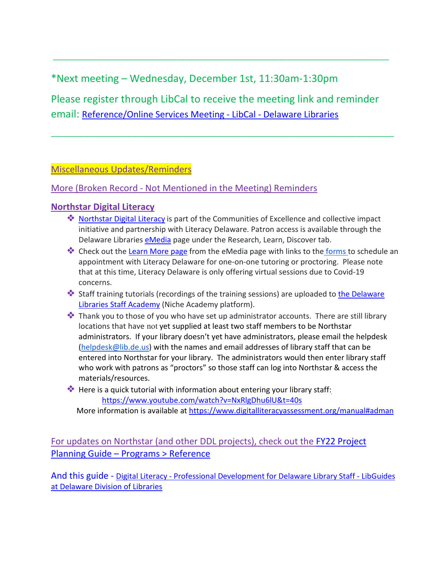# \*Next meeting – Wednesday, December 1st, 11:30am-1:30pm

Please register through LibCal to receive the meeting link and reminder email: [Reference/Online Services Meeting -](https://delawarelibraries.libcal.com/event/7594128) LibCal - Delaware Libraries

\_\_\_\_\_\_\_\_\_\_\_\_\_\_\_\_\_\_\_\_\_\_\_\_\_\_\_\_\_\_\_\_\_\_\_\_\_\_\_\_\_\_\_\_\_\_\_\_\_\_\_\_\_\_\_\_\_\_\_\_\_\_\_\_\_\_\_\_\_\_\_\_\_\_\_\_\_\_\_\_\_

\_\_\_\_\_\_\_\_\_\_\_\_\_\_\_\_\_\_\_\_\_\_\_\_\_\_\_\_\_\_\_\_\_\_\_\_\_\_\_\_\_\_\_\_\_\_\_\_\_\_\_\_\_\_\_\_\_\_\_\_\_\_\_\_\_\_\_\_\_\_\_\_\_\_\_\_\_\_\_

### Miscellaneous Updates/Reminders

## More (Broken Record - Not Mentioned in the Meeting) Reminders

## **[Northstar Digital Literacy](https://www.digitalliteracyassessment.org/about#about)**

- ❖ Northstar [Digital Literacy](https://www.digitalliteracyassessment.org/about#about) is part of the Communities of Excellence and collective impact initiative and partnership with Literacy Delaware. Patron access is available through the Delaware Libraries [eMedia](https://lib.de.us/emedia/) page under the Research, Learn, Discover tab.
- ❖ Check out the [Learn More page](https://lib.de.us/northstar/) from the eMedia page with links to the [forms t](https://delawarelibraries.libwizard.com/f/LitDEAppt)o schedule an appointment with Literacy Delaware for one-on-one tutoring or proctoring. Please note that at this time, Literacy Delaware is only offering virtual sessions due to Covid-19 concerns.
- ◆ Staff training tutorials (recordings of the training sessions) are uploaded to the Delaware [Libraries Staff Academy](https://my.nicheacademy.com/delawarelibrariesstaffacademy?category=11828) (Niche Academy platform).
- ❖ Thank you to those of you who have set up administrator accounts. There are still library locations that have not yet supplied at least two staff members to be Northstar administrators. If your library doesn't yet have administrators, please email the helpdesk [\(helpdesk@lib.de.us\)](mailto:helpdesk@lib.de.us) with the names and email addresses of library staff that can be entered into Northstar for your library. The administrators would then enter library staff who work with patrons as "proctors" so those staff can log into Northstar & access the materials/resources.
- ❖ Here is a quick tutorial with information about entering your library staff: <https://www.youtube.com/watch?v=NxRlgDhu6lU&t=40s>

More information is available a[t https://www.digitalliteracyassessment.org/manual#adman](https://www.digitalliteracyassessment.org/manual#adman)

For updates on Northstar (and other DDL projects), check out the [FY22 Project](https://guides.lib.de.us/projectplanning/programs)  [Planning Guide –](https://guides.lib.de.us/projectplanning/programs) Programs > Reference

And this guide - Digital Literacy - [Professional Development for Delaware Library Staff -](https://guides.lib.de.us/c.php?g=386101&p=2619968) LibGuides [at Delaware Division of Libraries](https://guides.lib.de.us/c.php?g=386101&p=2619968)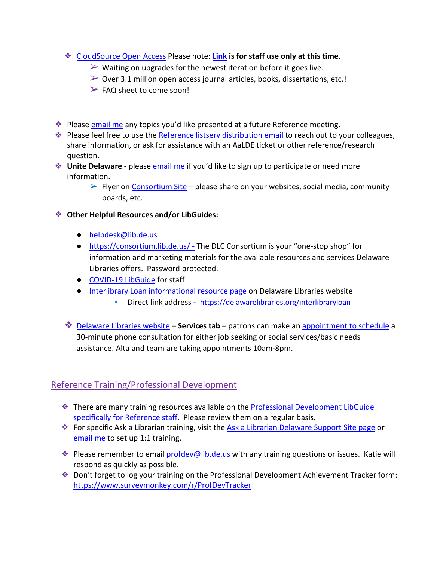- ❖ [CloudSource Open Access](https://dlc.lib.de.us/client/en_US/CSOA/) Please note: **[Link](https://delatest.ent.sirsi.net/client/en_US/CSOA) is for staff use only at this time**.
	- $\triangleright$  Waiting on upgrades for the newest iteration before it goes live.
	- $\triangleright$  Over 3.1 million open access journal articles, books, dissertations, etc.!
	- $\triangleright$  FAQ sheet to come soon!
- ❖ Please [email me](mailto:missy.williams@lib.de.us) any topics you'd like presented at a future Reference meeting.
- ❖ Please feel free to use the [Reference listserv distribution email](mailto:reference@listserv.lib.de.us) to reach out to your colleagues, share information, or ask for assistance with an AaLDE ticket or other reference/research question.
- ❖ **Unite Delaware** please [email me](mailto:missy.williams@lib.de.us) if you'd like to sign up to participate or need more information.
	- $\triangleright$  Flyer on [Consortium Site](https://consortium.lib.de.us/marketing/) please share on your websites, social media, community boards, etc.

### ❖ **Other Helpful Resources and/or LibGuides:**

- [helpdesk@lib.de.us](mailto:helpdesk@lib.de.us)
- <https://consortium.lib.de.us/> The DLC Consortium is your "one-stop shop" for information and marketing materials for the available resources and services Delaware Libraries offers. Password protected.
- [COVID-19 LibGuide](https://guides.lib.de.us/delibraries/COVID-19) for staff
- [Interlibrary Loan informational resource page](https://lib.de.us/interlibraryloan/) on Delaware Libraries website
	- Direct link address <https://delawarelibraries.org/interlibraryloan>
- ❖ [Delaware Libraries website](https://lib.de.us/) **Services tab** patrons can make an [appointment to schedule](https://delawarelibraries.libcal.com/appointments/) a 30-minute phone consultation for either job seeking or social services/basic needs assistance. Alta and team are taking appointments 10am-8pm.

# Reference Training/Professional Development

- ❖ There are many training resources available on the [Professional Development LibGuide](https://guides.lib.de.us/c.php?g=386101&p=2619930)  [specifically for Reference staff.](https://guides.lib.de.us/c.php?g=386101&p=2619930) Please review them on a regular basis.
- ❖ For specific Ask a Librarian training, visit the [Ask a Librarian Delaware Support Site page](https://aalstaff.lib.de.us/all-meetings-trainings/training-tutorials/) or [email me](mailto:missy.williams@lib.de.us) to set up 1:1 training.
- ◆ Please remember to email [profdev@lib.de.us](mailto:profdev@lib.de.us) with any training questions or issues. Katie will respond as quickly as possible.
- ❖ Don't forget to log your training on the Professional Development Achievement Tracker form: <https://www.surveymonkey.com/r/ProfDevTracker>